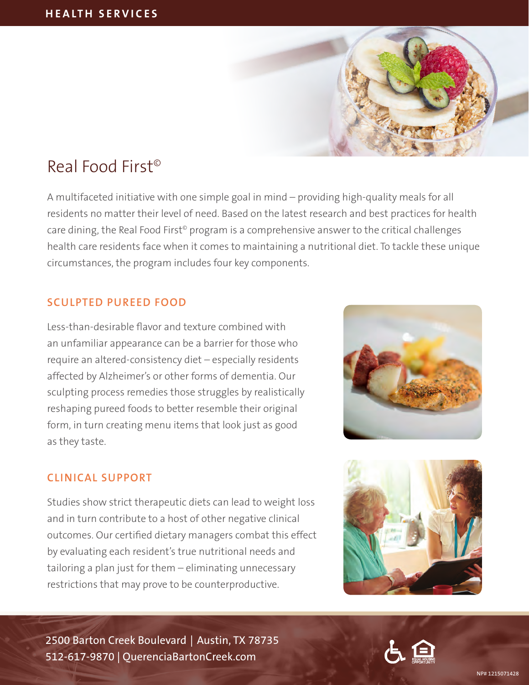

# Real Food First©

A multifaceted initiative with one simple goal in mind – providing high-quality meals for all residents no matter their level of need. Based on the latest research and best practices for health care dining, the Real Food First<sup>®</sup> program is a comprehensive answer to the critical challenges health care residents face when it comes to maintaining a nutritional diet. To tackle these unique circumstances, the program includes four key components.

## **SCULPTED PUREED FOOD**

Less-than-desirable flavor and texture combined with an unfamiliar appearance can be a barrier for those who require an altered-consistency diet – especially residents affected by Alzheimer's or other forms of dementia. Our sculpting process remedies those struggles by realistically reshaping pureed foods to better resemble their original form, in turn creating menu items that look just as good as they taste.

### **CLINICAL SUPPORT**

Studies show strict therapeutic diets can lead to weight loss and in turn contribute to a host of other negative clinical outcomes. Our certified dietary managers combat this effect by evaluating each resident's true nutritional needs and tailoring a plan just for them – eliminating unnecessary restrictions that may prove to be counterproductive.



2500 Barton Creek Boulevard | Austin, TX 78735 512-617-9870 | QuerenciaBartonCreek.com